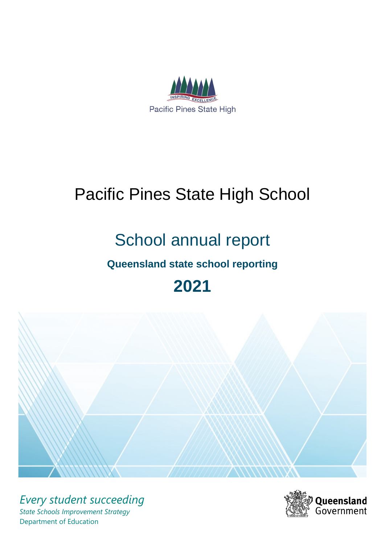

# Pacific Pines State High School

# School annual report

# **Queensland state school reporting**

# **2021**



*Every student succeeding State Schools Improvement Strategy* Department of Education

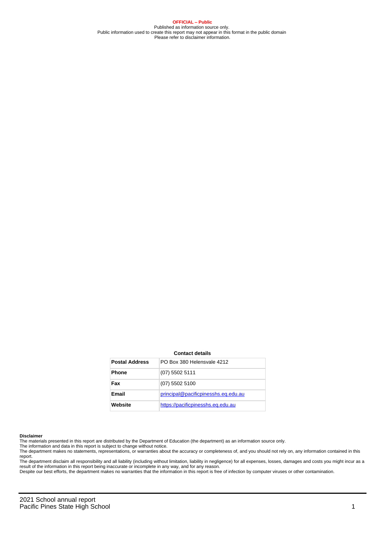**OFFICIAL – Public** Published as information source only. Public information used to create this report may not appear in this format in the public domain Please refer to disclaimer information.

#### **Contact details**

| <b>Postal Address</b> | PO Box 380 Helensvale 4212          |
|-----------------------|-------------------------------------|
| <b>Phone</b>          | $(07)$ 5502 5111                    |
| Fax                   | $(07)$ 5502 5100                    |
| Email                 | principal@pacificpinesshs.eq.edu.au |
| Website               | https://pacificpinesshs.eq.edu.au   |

#### **Disclaimer**

The materials presented in this report are distributed by the Department of Education (the department) as an information source only.

The information and data in this report is subject to change without notice.<br>The department makes no statements, representations, or warranties about the accuracy or completeness of, and you should not rely on, any informa report. The department disclaim all responsibility and all liability (including without limitation, liability in negligence) for all expenses, losses, damages and costs you might incur as a

result of the information in this report being inaccurate or incomplete in any way, and for any reason.

Despite our best efforts, the department makes no warranties that the information in this report is free of infection by computer viruses or other contamination.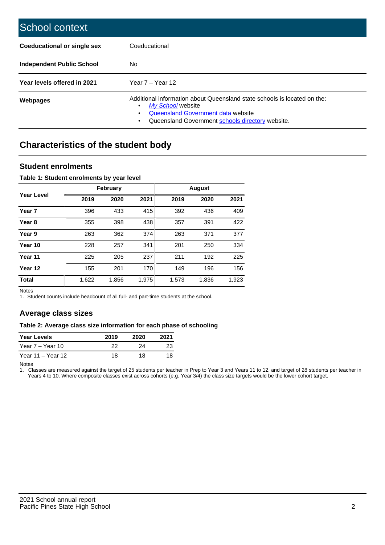| School context                     |                                                                                                                                                                                                   |
|------------------------------------|---------------------------------------------------------------------------------------------------------------------------------------------------------------------------------------------------|
| <b>Coeducational or single sex</b> | Coeducational                                                                                                                                                                                     |
| Independent Public School          | No.                                                                                                                                                                                               |
| Year levels offered in 2021        | Year $7 -$ Year 12                                                                                                                                                                                |
| Webpages                           | Additional information about Queensland state schools is located on the:<br>My School website<br>٠<br>Queensland Government data website<br>Queensland Government schools directory website.<br>٠ |

# **Characteristics of the student body**

## **Student enrolments**

### **Table 1: Student enrolments by year level**

|                   |       | <b>February</b> |       |       | <b>August</b> |       |
|-------------------|-------|-----------------|-------|-------|---------------|-------|
| Year Level        | 2019  | 2020            | 2021  | 2019  | 2020          | 2021  |
| Year <sub>7</sub> | 396   | 433             | 415   | 392   | 436           | 409   |
| Year <sub>8</sub> | 355   | 398             | 438   | 357   | 391           | 422   |
| Year 9            | 263   | 362             | 374   | 263   | 371           | 377   |
| Year 10           | 228   | 257             | 341   | 201   | 250           | 334   |
| Year 11           | 225   | 205             | 237   | 211   | 192           | 225   |
| Year 12           | 155   | 201             | 170   | 149   | 196           | 156   |
| <b>Total</b>      | 1,622 | 1,856           | 1,975 | 1,573 | 1,836         | 1,923 |

Notes

1. Student counts include headcount of all full- and part-time students at the school.

# **Average class sizes**

### **Table 2: Average class size information for each phase of schooling**

| <b>Year Levels</b> | 2019 | 2020 | 2021 |
|--------------------|------|------|------|
| Year 7 – Year 10   | 22   | 24   |      |
| Year 11 – Year 12  | 18   | 18   |      |

Notes

1. Classes are measured against the target of 25 students per teacher in Prep to Year 3 and Years 11 to 12, and target of 28 students per teacher in Years 4 to 10. Where composite classes exist across cohorts (e.g. Year 3/4) the class size targets would be the lower cohort target.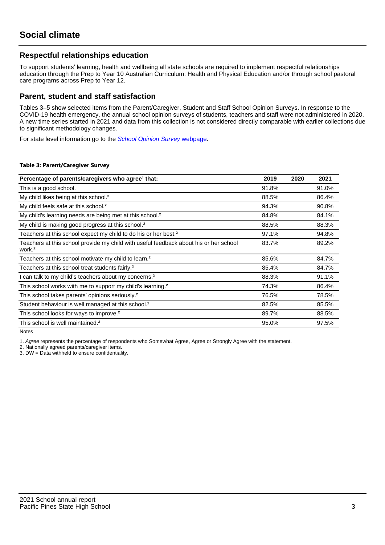# **Respectful relationships education**

To support students' learning, health and wellbeing all state schools are required to implement respectful relationships education through the Prep to Year 10 Australian Curriculum: Health and Physical Education and/or through school pastoral care programs across Prep to Year 12.

## **Parent, student and staff satisfaction**

Tables 3–5 show selected items from the Parent/Caregiver, Student and Staff School Opinion Surveys. In response to the COVID-19 health emergency, the annual school opinion surveys of students, teachers and staff were not administered in 2020. A new time series started in 2021 and data from this collection is not considered directly comparable with earlier collections due to significant methodology changes.

For state level information go to the **[School Opinion Survey](https://qed.qld.gov.au/publications/reports/statistics/schooling/schools/schoolopinionsurvey) webpage**.

### **Table 3: Parent/Caregiver Survey**

| Percentage of parents/caregivers who agree <sup>1</sup> that:                                               | 2019  | 2020 | 2021  |
|-------------------------------------------------------------------------------------------------------------|-------|------|-------|
| This is a good school.                                                                                      | 91.8% |      | 91.0% |
| My child likes being at this school. <sup>2</sup>                                                           | 88.5% |      | 86.4% |
| My child feels safe at this school. <sup>2</sup>                                                            | 94.3% |      | 90.8% |
| My child's learning needs are being met at this school. <sup>2</sup>                                        | 84.8% |      | 84.1% |
| My child is making good progress at this school. <sup>2</sup>                                               | 88.5% |      | 88.3% |
| Teachers at this school expect my child to do his or her best. <sup>2</sup>                                 | 97.1% |      | 94.8% |
| Teachers at this school provide my child with useful feedback about his or her school<br>work. <sup>2</sup> | 83.7% |      | 89.2% |
| Teachers at this school motivate my child to learn. <sup>2</sup>                                            | 85.6% |      | 84.7% |
| Teachers at this school treat students fairly. <sup>2</sup>                                                 | 85.4% |      | 84.7% |
| can talk to my child's teachers about my concerns. <sup>2</sup>                                             | 88.3% |      | 91.1% |
| This school works with me to support my child's learning. <sup>2</sup>                                      | 74.3% |      | 86.4% |
| This school takes parents' opinions seriously. <sup>2</sup>                                                 | 76.5% |      | 78.5% |
| Student behaviour is well managed at this school. <sup>2</sup>                                              | 82.5% |      | 85.5% |
| This school looks for ways to improve. <sup>2</sup>                                                         | 89.7% |      | 88.5% |
| This school is well maintained. <sup>2</sup>                                                                | 95.0% |      | 97.5% |

Notes

1. Agree represents the percentage of respondents who Somewhat Agree, Agree or Strongly Agree with the statement.

2. Nationally agreed parents/caregiver items.

3. DW = Data withheld to ensure confidentiality.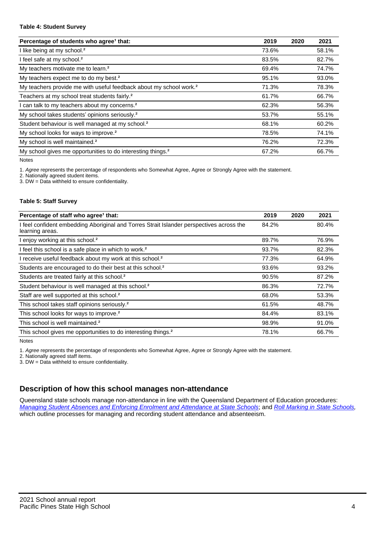#### **Table 4: Student Survey**

| Percentage of students who agree <sup>1</sup> that:                            | 2019  | 2020 | 2021  |
|--------------------------------------------------------------------------------|-------|------|-------|
| I like being at my school. <sup>2</sup>                                        | 73.6% |      | 58.1% |
| I feel safe at my school. <sup>2</sup>                                         | 83.5% |      | 82.7% |
| My teachers motivate me to learn. <sup>2</sup>                                 | 69.4% |      | 74.7% |
| My teachers expect me to do my best. <sup>2</sup>                              | 95.1% |      | 93.0% |
| My teachers provide me with useful feedback about my school work. <sup>2</sup> | 71.3% |      | 78.3% |
| Teachers at my school treat students fairly. <sup>2</sup>                      | 61.7% |      | 66.7% |
| I can talk to my teachers about my concerns. <sup>2</sup>                      | 62.3% |      | 56.3% |
| My school takes students' opinions seriously. <sup>2</sup>                     | 53.7% |      | 55.1% |
| Student behaviour is well managed at my school. <sup>2</sup>                   | 68.1% |      | 60.2% |
| My school looks for ways to improve. <sup>2</sup>                              | 78.5% |      | 74.1% |
| My school is well maintained. <sup>2</sup>                                     | 76.2% |      | 72.3% |
| My school gives me opportunities to do interesting things. <sup>2</sup>        | 67.2% |      | 66.7% |

Notes

1. Agree represents the percentage of respondents who Somewhat Agree, Agree or Strongly Agree with the statement.

2. Nationally agreed student items.

3. DW = Data withheld to ensure confidentiality.

### **Table 5: Staff Survey**

| Percentage of staff who agree <sup>1</sup> that:                                                            | 2019  | 2020 | 2021  |
|-------------------------------------------------------------------------------------------------------------|-------|------|-------|
| I feel confident embedding Aboriginal and Torres Strait Islander perspectives across the<br>learning areas. | 84.2% |      | 80.4% |
| I enjoy working at this school. <sup>2</sup>                                                                | 89.7% |      | 76.9% |
| I feel this school is a safe place in which to work. <sup>2</sup>                                           | 93.7% |      | 82.3% |
| I receive useful feedback about my work at this school. <sup>2</sup>                                        | 77.3% |      | 64.9% |
| Students are encouraged to do their best at this school. <sup>2</sup>                                       | 93.6% |      | 93.2% |
| Students are treated fairly at this school. <sup>2</sup>                                                    | 90.5% |      | 87.2% |
| Student behaviour is well managed at this school. <sup>2</sup>                                              | 86.3% |      | 72.7% |
| Staff are well supported at this school. <sup>2</sup>                                                       | 68.0% |      | 53.3% |
| This school takes staff opinions seriously. <sup>2</sup>                                                    | 61.5% |      | 48.7% |
| This school looks for ways to improve. <sup>2</sup>                                                         | 84.4% |      | 83.1% |
| This school is well maintained. <sup>2</sup>                                                                | 98.9% |      | 91.0% |
| This school gives me opportunities to do interesting things. <sup>2</sup>                                   | 78.1% |      | 66.7% |

Notes

1. Agree represents the percentage of respondents who Somewhat Agree, Agree or Strongly Agree with the statement.

2. Nationally agreed staff items.

3. DW = Data withheld to ensure confidentiality.

# **Description of how this school manages non-attendance**

Queensland state schools manage non-attendance in line with the Queensland Department of Education procedures: [Managing Student Absences and Enforcing Enrolment and Attendance at State Schools](https://ppr.qed.qld.gov.au/pp/managing-student-absences-and-enforcing-enrolment-and-attendance-at-state-schools-procedure); and [Roll Marking in State Schools,](https://ppr.qed.qld.gov.au/pp/roll-marking-in-state-schools-procedure) which outline processes for managing and recording student attendance and absenteeism.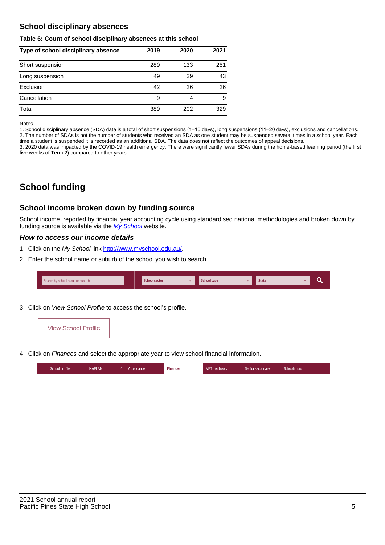# **School disciplinary absences**

### **Table 6: Count of school disciplinary absences at this school**

| Type of school disciplinary absence | 2019 | 2020 | 2021 |
|-------------------------------------|------|------|------|
| Short suspension                    | 289  | 133  | 251  |
| Long suspension                     | 49   | 39   | 43   |
| Exclusion                           | 42   | 26   | 26   |
| Cancellation                        | 9    | 4    | 9    |
| Total                               | 389  | 202  | 329  |

Notes

1. School disciplinary absence (SDA) data is a total of short suspensions (1–10 days), long suspensions (11–20 days), exclusions and cancellations. 2. The number of SDAs is not the number of students who received an SDA as one student may be suspended several times in a school year. Each time a student is suspended it is recorded as an additional SDA. The data does not reflect the outcomes of appeal decisions.

3. 2020 data was impacted by the COVID-19 health emergency. There were significantly fewer SDAs during the home-based learning period (the first five weeks of Term 2) compared to other years.

# **School funding**

## **School income broken down by funding source**

School income, reported by financial year accounting cycle using standardised national methodologies and broken down by funding source is available via the [My School](http://www.myschool.edu.au/) website.

## **How to access our income details**

- 1. Click on the My School link <http://www.myschool.edu.au/>.
- 2. Enter the school name or suburb of the school you wish to search.

| Search by school name or suburb | <b>School sector</b> | School type | <b>State</b> |  |
|---------------------------------|----------------------|-------------|--------------|--|
|                                 |                      |             |              |  |

3. Click on View School Profile to access the school's profile.



4. Click on Finances and select the appropriate year to view school financial information.

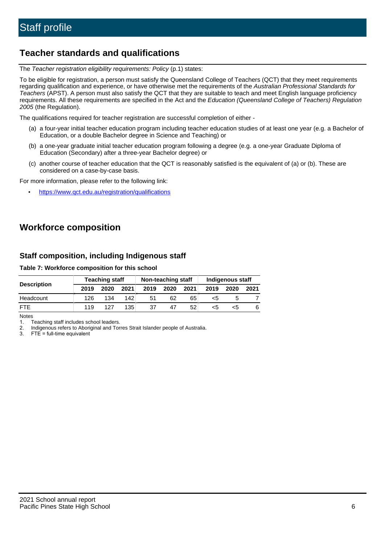# **Teacher standards and qualifications**

The Teacher registration eligibility requirements: Policy (p.1) states:

To be eligible for registration, a person must satisfy the Queensland College of Teachers (QCT) that they meet requirements regarding qualification and experience, or have otherwise met the requirements of the Australian Professional Standards for Teachers (APST). A person must also satisfy the QCT that they are suitable to teach and meet English language proficiency requirements. All these requirements are specified in the Act and the Education (Queensland College of Teachers) Regulation 2005 (the Regulation).

The qualifications required for teacher registration are successful completion of either -

- (a) a four-year initial teacher education program including teacher education studies of at least one year (e.g. a Bachelor of Education, or a double Bachelor degree in Science and Teaching) or
- (b) a one-year graduate initial teacher education program following a degree (e.g. a one-year Graduate Diploma of Education (Secondary) after a three-year Bachelor degree) or
- (c) another course of teacher education that the QCT is reasonably satisfied is the equivalent of (a) or (b). These are considered on a case-by-case basis.

For more information, please refer to the following link:

• <https://www.qct.edu.au/registration/qualifications>

# **Workforce composition**

# **Staff composition, including Indigenous staff**

### **Table 7: Workforce composition for this school**

|                    | <b>Teaching staff</b> |      |      | Non-teaching staff |      |      | <b>Indigenous staff</b> |      |      |
|--------------------|-----------------------|------|------|--------------------|------|------|-------------------------|------|------|
| <b>Description</b> | 2019                  | 2020 | 2021 | 2019               | 2020 | 2021 | 2019                    | 2020 | 2021 |
| Headcount          | 126                   | 134  | 142  | 51                 | 62   | 65   | <5                      |      |      |
| <b>FTE</b>         | 119                   | 127  | 135  | 37                 | 47   | 52   | <5                      | <:   |      |

Notes

1. Teaching staff includes school leaders.

2. Indigenous refers to Aboriginal and Torres Strait Islander people of Australia.

3. FTE = full-time equivalent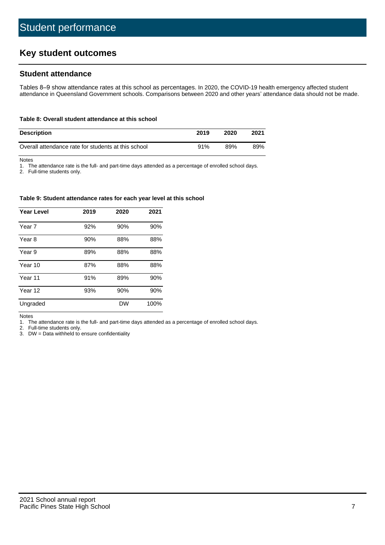# **Key student outcomes**

## **Student attendance**

Tables 8–9 show attendance rates at this school as percentages. In 2020, the COVID-19 health emergency affected student attendance in Queensland Government schools. Comparisons between 2020 and other years' attendance data should not be made.

#### **Table 8: Overall student attendance at this school**

| <b>Description</b>                                  | 2019 | 2020 | 2021 |
|-----------------------------------------------------|------|------|------|
| Overall attendance rate for students at this school | 91%  | 89%  | 89%  |

Notes

1. The attendance rate is the full- and part-time days attended as a percentage of enrolled school days.

2. Full-time students only.

#### **Table 9: Student attendance rates for each year level at this school**

| <b>Year Level</b> | 2019 | 2020 | 2021 |
|-------------------|------|------|------|
| Year 7            | 92%  | 90%  | 90%  |
| Year 8            | 90%  | 88%  | 88%  |
| Year 9            | 89%  | 88%  | 88%  |
| Year 10           | 87%  | 88%  | 88%  |
| Year 11           | 91%  | 89%  | 90%  |
| Year 12           | 93%  | 90%  | 90%  |
| Ungraded          |      | DW   | 100% |

Notes

1. The attendance rate is the full- and part-time days attended as a percentage of enrolled school days.

2. Full-time students only.

3. DW = Data withheld to ensure confidentiality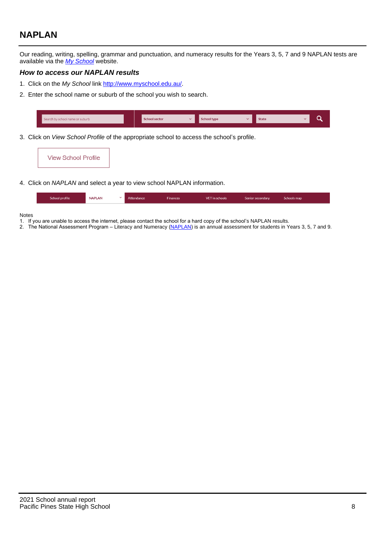# **NAPLAN**

Our reading, writing, spelling, grammar and punctuation, and numeracy results for the Years 3, 5, 7 and 9 NAPLAN tests are available via the [My School](http://www.myschool.edu.au/) website.

## **How to access our NAPLAN results**

- 1. Click on the My School link <http://www.myschool.edu.au/>.
- 2. Enter the school name or suburb of the school you wish to search.

| Search by school name or suburb | <b>School sector</b> | <b>School type</b>                        |          | <b>State</b> |  |
|---------------------------------|----------------------|-------------------------------------------|----------|--------------|--|
|                                 |                      |                                           |          |              |  |
|                                 |                      | $\sim$ $\sim$ $\sim$ $\sim$ $\sim$ $\sim$ | $\cdots$ |              |  |

3. Click on View School Profile of the appropriate school to access the school's profile.



4. Click on NAPLAN and select a year to view school NAPLAN information.

|--|

#### Notes

- 1. If you are unable to access the internet, please contact the school for a hard copy of the school's NAPLAN results.
- 2. The National Assessment Program Literacy and Numeracy ([NAPLAN\)](http://www.nap.edu.au/naplan) is an annual assessment for students in Years 3, 5, 7 and 9.